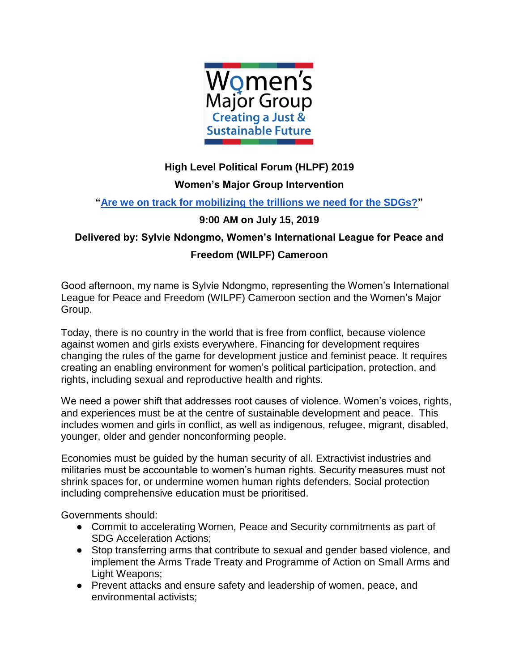

## **High Level Political Forum (HLPF) 2019 Women's Major Group Intervention**

## **["Are we on track for mobilizing the trillions we need for the SDGs?"](https://sustainabledevelopment.un.org/index.php?page=view&type=20000&nr=5687&menu=2993)**

## **9:00 AM on July 15, 2019**

## **Delivered by: Sylvie Ndongmo, Women's International League for Peace and Freedom (WILPF) Cameroon**

Good afternoon, my name is Sylvie Ndongmo, representing the Women's International League for Peace and Freedom (WILPF) Cameroon section and the Women's Major Group.

Today, there is no country in the world that is free from conflict, because violence against women and girls exists everywhere. Financing for development requires changing the rules of the game for development justice and feminist peace. It requires creating an enabling environment for women's political participation, protection, and rights, including sexual and reproductive health and rights.

We need a power shift that addresses root causes of violence. Women's voices, rights, and experiences must be at the centre of sustainable development and peace. This includes women and girls in conflict, as well as indigenous, refugee, migrant, disabled, younger, older and gender nonconforming people.

Economies must be guided by the human security of all. Extractivist industries and militaries must be accountable to women's human rights. Security measures must not shrink spaces for, or undermine women human rights defenders. Social protection including comprehensive education must be prioritised.

Governments should:

- Commit to accelerating Women, Peace and Security commitments as part of SDG Acceleration Actions;
- Stop transferring arms that contribute to sexual and gender based violence, and implement the Arms Trade Treaty and Programme of Action on Small Arms and Light Weapons;
- Prevent attacks and ensure safety and leadership of women, peace, and environmental activists;